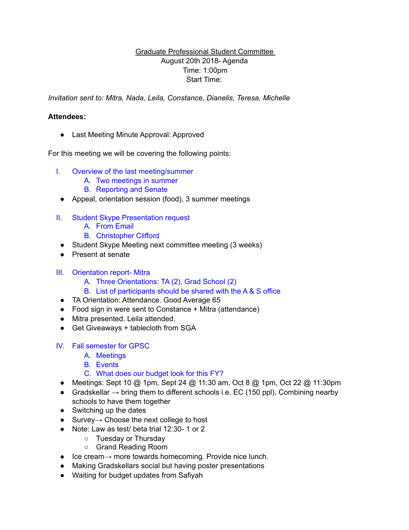## Graduate Professional Student Committee August 20th 2018- Agenda Time: 1:00pm Start Time:

*Invitation sent to: Mitra, Nada, Leila, Constance, Dianelis, Teresa, Michelle* 

## **Attendees:**

● Last Meeting Minute Approval: Approved

For this meeting we will be covering the following points:

- I. Overview of the last meeting/summer
	- A. Two meetings in summer
	- B. Reporting and Senate
	- Appeal, orientation session (food), 3 summer meetings
- II. Student Skype Presentation request
	- A. From Email
	- B. Christopher Clifford
	- Student Skype Meeting next committee meeting (3 weeks)
- Present at senate
- III. Orientation report- Mitra
	- A. Three Orientations: TA (2), Grad School (2)
	- B. List of participants should be shared with the A & S office
	- TA Orientation: Attendance. Good Average 65
	- Food sign in were sent to Constance + Mitra (attendance)
- Mitra presented. Leila attended.
- Get Giveaways + tablecloth from SGA
- IV. Fall semester for GPSC
	- A. Meetings
	- B. Events
	- C. What does our budget look for this FY?
	- Meetings: Sept 10 @ 1pm, Sept 24 @ 11:30 am, Oct 8 @ 1pm, Oct 22 @ 11:30pm
	- Gradskellar  $\rightarrow$  bring them to different schools i.e. EC (150 ppl), Combining nearby schools to have them together
	- Switching up the dates
	- Survey→ Choose the next college to host
	- Note: Law as test/ beta trial 12:30- 1 or 2
		- Tuesday or Thursday
		- Grand Reading Room
- Ice cream→ more towards homecoming. Provide nice lunch.
- Making Gradskellars social but having poster presentations
- Waiting for budget updates from Safiyah